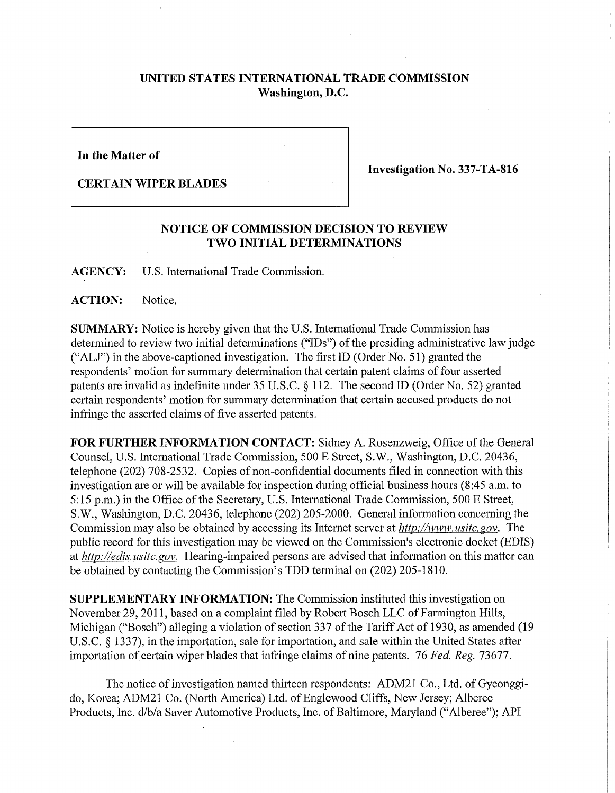## **UNITED STATES INTERNATIONAL TRADE COMMISSION Washington, D.C.**

**In the Matter of** 

**CERTAIN WIPER BLADES** 

**Investigation No. 337-TA-816** 

## **NOTICE OF COMMISSION DECISION TO REVIEW TWO INITIAL DETERMINATIONS**

**AGENCY:** U.S. International Trade Commission.

**ACTION:** Notice.

**SUMMARY:** Notice is hereby given that the U.S. International Trade Commission has determined to review two initial determinations ("IDs") of the presiding administrative law judge ("ALJ") in the above-captioned investigation. The first ID (Order No. 51) granted the respondents' motion for summary determination that certain patent claims of four asserted patents are invalid as indefinite under 35 U.S.C. § 112. The second ID (Order No. 52) granted certain respondents' motion for summary determination that certain accused products do not infringe the asserted claims of five asserted patents.

FOR FURTHER INFORMATION CONTACT: Sidney A. Rosenzweig, Office of the General Counsel, U.S. International Trade Commission, 500 E Street, S.W., Washington, D.C. 20436, telephone (202) 708-2532. Copies of non-confidential documents filed in connection with this investigation are or will be available for inspection during official business hours (8:45 a.m. to 5:15 p.m.) in the Office of the Secretary, U.S. International Trade Commission, 500 E Street, S.W., Washington, D.C. 20436, telephone (202) 205-2000. General information concerning the Commission may also be obtained by accessing its Internet server at *http://www.usitc.gov.* The public record for this investigation may be viewed on the Commission's electronic docket (EDIS) at *http://edis. usitc. gov.* Hearing-impaired persons are advised that information on this matter can be obtained by contacting the Commission's TDD terminal on (202) 205-1810.

**SUPPLEMENTARY INFORMATION:** The Commission instituted this investigation on November 29, 2011, based on a complaint filed by Robert Bosch LLC of Farmington Hills, Michigan ("Bosch") alleging a violation of section 337 of the Tariff Act of 1930, as amended (19 U.S.C. § 1337), in the importation, sale for importation, and sale within the United States after importation of certain wiper blades that infringe claims of nine patents. 76 *Fed. Reg.* 73677.

The notice of investigation named thirteen respondents: ADM21 Co., Ltd. of Gyeonggido, Korea; ADM21 Co. (North America) Ltd. of Englewood Cliffs, New Jersey; Alberee Products, Inc. d/b/a Saver Automotive Products, Inc. of Baltimore, Maryland ("Alberee"); API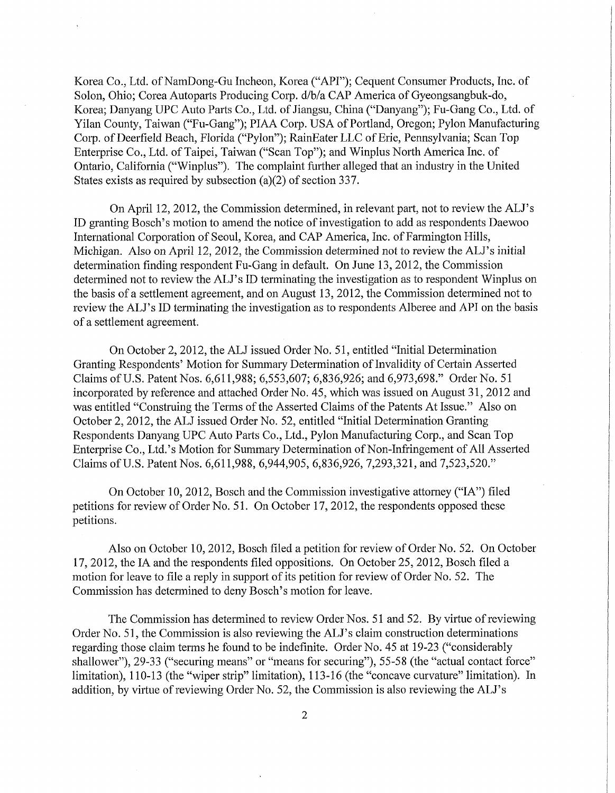Korea Co., Ltd. of NamDong-Gu Incheon, Korea ("API"); Cequent Consumer Products, Inc. of Solon, Ohio; Corea Autoparts Producing Corp. d/b/a CAP America of Gyeongsangbuk-do, Korea; Danyang UPC Auto Parts Co., Ltd. of Jiangsu, China ("Danyang"); Fu-Gang Co., Ltd. of Yilan County, Taiwan ("Fu-Gang"); PIAA Corp. USA of Portland, Oregon; Pylon Manufacturing Coip. of Deerfield Beach, Florida ("Pylon"); RainEater LLC of Erie, Pennsylvania; Scan Top Enterprise Co., Ltd. of Taipei, Taiwan ("Scan Top"); and Winplus North America Inc. of Ontario, California ("Winplus"). The complaint further alleged that an industry in the United States exists as required by subsection (a)(2) of section 337.

On April 12, 2012, the Commission determined, in relevant part, not to review the ALJ's ID granting Bosch's motion to amend the notice of investigation to add as respondents Daewoo International Corporation of Seoul, Korea, and CAP America, Inc. of Farmington Hills, Michigan. Also on April 12, 2012, the Commission determined not to review the ALJ's initial determination finding respondent Fu-Gang in default. On June 13, 2012, the Commission determined not to review the ALJ's ID terminating the investigation as to respondent Winplus on the basis of a settlement agreement, and on August 13, 2012, the Commission determined not to review the ALJ's ID terminating the investigation as to respondents Alberee and API on the basis of a settlement agreement.

On October 2, 2012, the ALJ issued Order No. 51, entitled "Initial Determination Granting Respondents' Motion for Summary Determination of Invalidity of Certain Asserted Claims of U.S. Patent Nos. 6,611,988; 6,553,607; 6,836,926; and 6,973,698." Order No. 51 incorporated by reference and attached Order No. 45, which was issued on August 31, 2012 and was entitled "Construing the Terms of the Asserted Claims of the Patents At Issue." Also on October 2, 2012, the ALJ issued Order No. 52, entitled "Initial Determination Granting Respondents Danyang UPC Auto Parts Co., Ltd., Pylon Manufacturing Corp., and Scan Top Enterprise Co., Ltd.'s Motion for Summary Determination of Non-Infringement of All Asserted Claims of U.S. Patent Nos. 6,611,988, 6,944,905, 6,836,926, 7,293,321, and 7,523,520."

On October 10, 2012, Bosch and the Commission investigative attorney ("IA") filed petitions for review of Order No. 51. On October 17, 2012, the respondents opposed these petitions.

Also on October 10, 2012, Bosch filed a petition for review of Order No. 52. On October 17, 2012, the IA and the respondents filed oppositions. On October 25,2012, Bosch filed a motion for leave to file a reply in support of its petition for review of Order No. 52. The Commission has determined to deny Bosch's motion for leave.

The Commission has determined to review Order Nos. 51 and 52. By virtue of reviewing Order No. 51, the Commission is also reviewing the ALJ's claim construction determinations regarding those claim terms he found to be indefinite. Order No. 45 at 19-23 ("considerably shallower"), 29-33 ("securing means" or "means for securing"), 55-58 (the "actual contact force" limitation), 110-13 (the "wiper strip" limitation), 113-16 (the "concave curvature" limitation). In addition, by virtue of reviewing Order No. 52, the Commission is also reviewing the ALJ's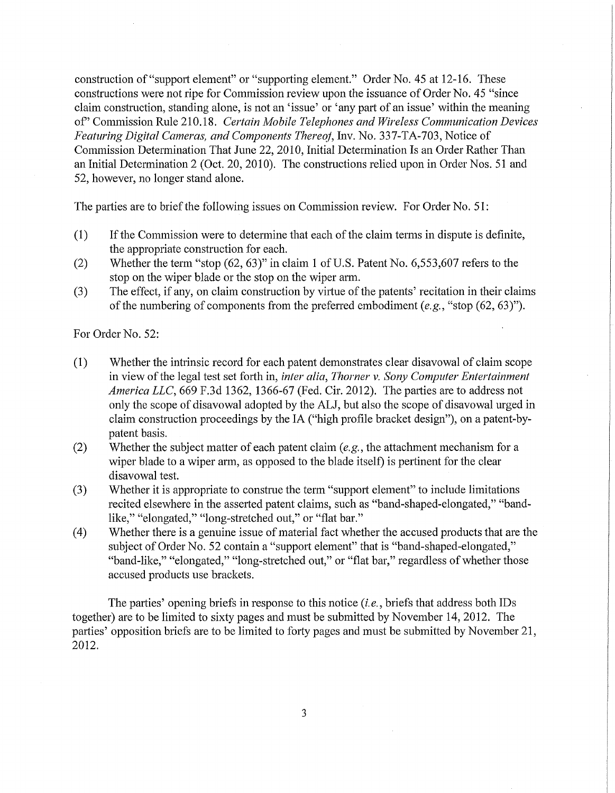construction of "support element" or "supporting element." Order No. 45 at 12-16. These constructions were not ripe for Commission review upon the issuance of Order No. 45 "since claim construction, standing alone, is not an 'issue' or 'any part of an issue' within the meaning of" Commission Rule 210.18. *Certain Mobile Telephones and Wireless Communication Devices Featuring Digital Cameras, and Components Thereof, Inv. No. 337-TA-703, Notice of* Commission Determination That June 22, 2010, Initial Determination Is an Order Rather Than an Initial Determination 2 (Oct. 20, 2010). The constructions relied upon in Order Nos. 51 and 52, however, no longer stand alone.

The parties are to brief the following issues on Commission review. For Order No. 51:

- (1) If the Commission were to determine that each of the claim terms in dispute is definite, the appropriate construction for each.
- (2) Whether the term "stop (62, 63)" in claim 1 of U.S. Patent No. 6,553,607 refers to the stop on the wiper blade or the stop on the wiper arm.
- (3) The effect, if any, on claim construction by virtue of the patents' recitation in their claims of the numbering of components from the preferred embodiment *(e.g.,* "stop (62, 63)").

For Order No. 52:

- (1) Whether the intrinsic record for each patent demonstrates clear disavowal of claim scope in view of the legal test set forth in, *inter alia, Thorner v. Sony Computer Entertainment America LLC,* 669 F.3d 1362, 1366-67 (Fed. Cir. 2012). The parties are to address not only the scope of disavowal adopted by the ALJ, but also the scope of disavowal urged in claim construction proceedings by the IA ("high profile bracket design"), on a patent-bypatent basis.
- (2) Whether the subject matter of each patent claim *{e.g.,* the attachment mechanism for a wiper blade to a wiper arm, as opposed to the blade itself) is pertinent for the clear disavowal test.
- (3) Whether it is appropriate to construe the term "support element" to include limitations recited elsewhere in the asserted patent claims, such as "band-shaped-elongated," "bandlike," "elongated," "long-stretched out," or "flat bar."
- (4) Whether there is a genuine issue of material fact whether the accused products that are the subject of Order No. 52 contain a "support element" that is "band-shaped-elongated," "band-like," "elongated," "long-stretched out," or "flat bar," regardless of whether those accused products use brackets.

The parties' opening briefs in response to this notice *(i.e.,* briefs that address both IDs together) are to be limited to sixty pages and must be submitted by November 14, 2012. The parties' opposition briefs are to be limited to forty pages and must be submitted by November 21, 2012.